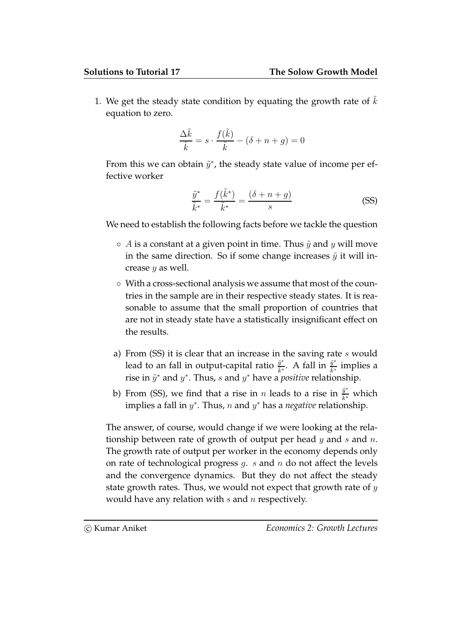1. We get the steady state condition by equating the growth rate of  $k$ equation to zero.

$$
\frac{\Delta \tilde{k}}{\tilde{k}} = s \cdot \frac{f(\tilde{k})}{\tilde{k}} - (\delta + n + g) = 0
$$

From this we can obtain  $\tilde{y}^*$ , the steady state value of income per effective worker

$$
\frac{\tilde{y}^*}{\tilde{k}^*} = \frac{f(\tilde{k}^*)}{\tilde{k}^*} = \frac{(\delta + n + g)}{s}
$$
 (SS)

We need to establish the following facts before we tackle the question

- $\circ$  A is a constant at a given point in time. Thus  $\tilde{y}$  and y will move in the same direction. So if some change increases  $\tilde{\mathbf{y}}$  it will increase  $y$  as well.
- With a cross-sectional analysis we assume that most of the countries in the sample are in their respective steady states. It is reasonable to assume that the small proportion of countries that are not in steady state have a statistically insignificant effect on the results.
- a) From (SS) it is clear that an increase in the saving rate  $s$  would lead to an fall in output-capital ratio  $\frac{\tilde{y}^*}{\tilde{t}^*}$  $\frac{\tilde{y}^*}{\tilde{k}^*}$ . A fall in  $\frac{\tilde{y}^*}{\tilde{k}^*}$  $\frac{y}{\tilde{k}^*}$  implies a rise in  $\tilde{y}^*$  and  $y^*$ . Thus, s and  $y^*$  have a *positive* relationship.
- b) From (SS), we find that a rise in  $n$  leads to a rise in  $\frac{\tilde y^*}{\tilde k^*}$  which implies a fall in  $y^*$ . Thus, n and  $y^*$  has a negative relationship.

The answer, of course, would change if we were looking at the relationship between rate of growth of output per head  $y$  and  $s$  and  $n$ . The growth rate of output per worker in the economy depends only on rate of technological progress  $g$ .  $s$  and  $n$  do not affect the levels and the convergence dynamics. But they do not affect the steady state growth rates. Thus, we would not expect that growth rate of  $y$ would have any relation with  $s$  and  $n$  respectively.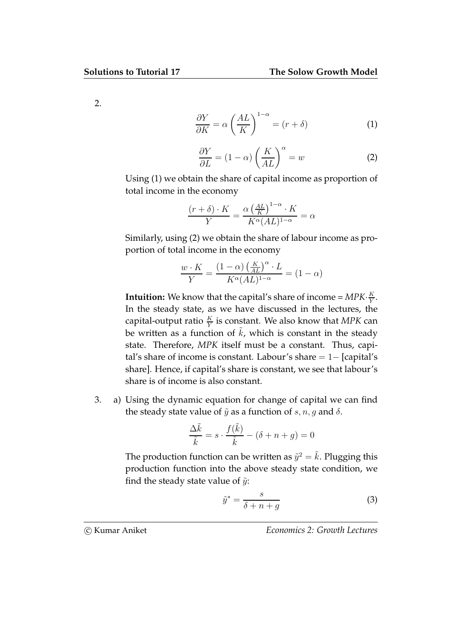2.

$$
\frac{\partial Y}{\partial K} = \alpha \left(\frac{AL}{K}\right)^{1-\alpha} = (r+\delta)
$$
 (1)

$$
\frac{\partial Y}{\partial L} = (1 - \alpha) \left(\frac{K}{AL}\right)^{\alpha} = w \tag{2}
$$

Using (1) we obtain the share of capital income as proportion of total income in the economy

$$
\frac{(r+\delta)\cdot K}{Y}=\frac{\alpha \left(\frac{AL}{K}\right)^{1-\alpha}\cdot K}{K^{\alpha}(AL)^{1-\alpha}}=\alpha
$$

Similarly, using (2) we obtain the share of labour income as proportion of total income in the economy

$$
\frac{w \cdot K}{Y} = \frac{(1 - \alpha) \left(\frac{K}{AL}\right)^{\alpha} \cdot L}{K^{\alpha} (AL)^{1 - \alpha}} = (1 - \alpha)
$$

**Intuition:** We know that the capital's share of income =  $MPK \cdot \frac{K}{Y}$  $\frac{K}{Y}$ . In the steady state, as we have discussed in the lectures, the capital-output ratio  $\frac{K}{Y}$  is constant. We also know that MPK can be written as a function of  $k$ , which is constant in the steady state. Therefore, MPK itself must be a constant. Thus, capital's share of income is constant. Labour's share = 1− [capital's share]. Hence, if capital's share is constant, we see that labour's share is of income is also constant.

3. a) Using the dynamic equation for change of capital we can find the steady state value of  $\tilde{y}$  as a function of  $s, n, g$  and  $\delta$ .

$$
\frac{\Delta \tilde{k}}{\tilde{k}} = s \cdot \frac{f(\tilde{k})}{\tilde{k}} - (\delta + n + g) = 0
$$

The production function can be written as  $\tilde{y}^2=\tilde{k}$ . Plugging this production function into the above steady state condition, we find the steady state value of  $\tilde{y}$ :

$$
\tilde{y}^* = \frac{s}{\delta + n + g} \tag{3}
$$

c Kumar Aniket Economics 2: Growth Lectures